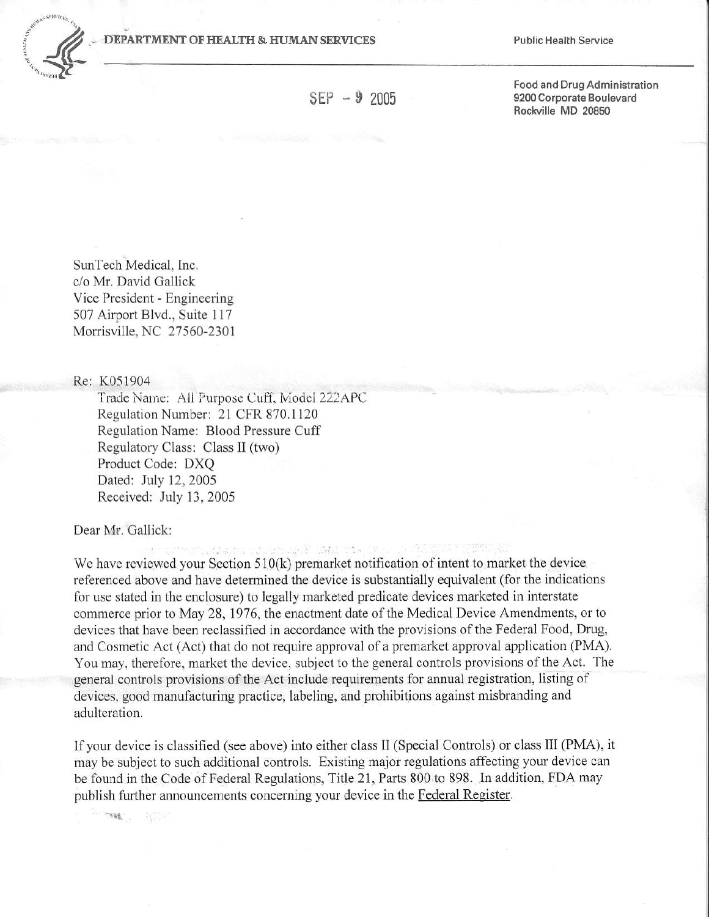

 $SEP - 9, 2005$ 

Food and Drug Administration 9200 Corporate Boulevard Rockville MD 20850

SunTech Medical, Inc. c/o Mr. David Gallick Vice President - Engineering 507 Airport Blvd., Suite 117 Morrisville, NC 27560-2301

Re: K051904

Trade Name: All Purpose Cuff, Model 222APC Regulation Number: 21 CFR 870.1120 Regulation Name: Blood Pressure Cuff Regulatory Class: Class II (two) Product Code: DXQ Dated: July 12, 2005 Received: July 13, 2005

Dear Mr. Gallick:

SERVICES STATISTICS. We have reviewed your Section  $510(k)$  premarket notification of intent to market the device referenced above and have determined the device is substantially equivalent (for the indications for use stated in the enclosure) to legally marketed predicate devices marketed in interstate commerce prior to May 28, 1976, the enactment date of the Medical Device Amendments, or to devices that have been reclassified in accordance with the provisions of the Federal Food, Drug, and Cosmetic Act (Act) that do not require approval of a premarket approval application (PMA). You may, therefore, market the device, subject to the general controls provisions of the Act. The general controls provisions of the Act include requirements for annual registration, listing of devices, good manufacturing practice, labeling, and prohibitions against misbranding and adulteration.

If your device is classified (see above) into either class II (Special Controls) or class III (PMA), it may be subject to such additional controls. Existing major regulations affecting your device can be found in the Code of Federal Regulations, Title 21, Parts 800 to 898. In addition, FDA may publish further announcements concerning your device in the Federal Register.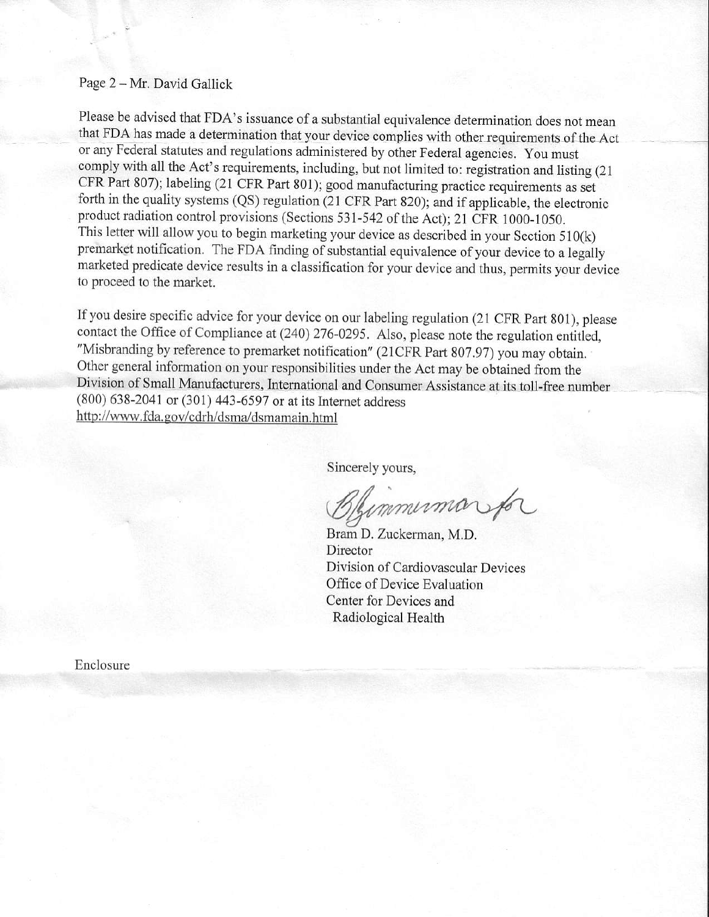## Page 2 - Mr. David Gallick

Please be advised that FDA's issuance of a substantial equivalence determination does not mean that FDA has made a determination that your device complies with other requirements of the Act or any Federal statutes and regulations administered by other Federal agencies. You must comply with all the Act's requirements, including, but not limited to: registration and listing (21) CFR Part 807); labeling (21 CFR Part 801); good manufacturing practice requirements as set forth in the quality systems (QS) regulation (21 CFR part 820); and if applicable, the electronic product radiation control provisions (Sections 531-542 of the Act); 21 CFR 1000-1050. This letter will allow you to begin marketing your device as described in your Section 510(k) premarket notification. The FDA finding of substantial equivalence of your device to a legally marketed predicate device results in a classification for your device and thus, permits your device to proceed to the market.

If you desire specific advice for your device on our labeling regulation (21 CFR Part 801), please contact the Office of Compliance at (240) 276-0295. Also, please note the regulation entitled, "Misbranding by reference to premarket notification" (21CFR Part 807.97) you may obtain. Other general information on your responsibilities under the Act may be obtained from the Division of Small Manufacturers, International and Consumer Assistance at its toll-free number (800) 638-2041 or (301) 443-6597 or at its Internet address http://www.fda.gov/cdrh/dsma/dsmamain.html

Sincerely yours,

Blymminnarpa

Bram D. Zuckerman, M.D, Director Division of Cardiovascular Devices Office of Device Evaluation Center for Devices and Radiological Health

Enclosure